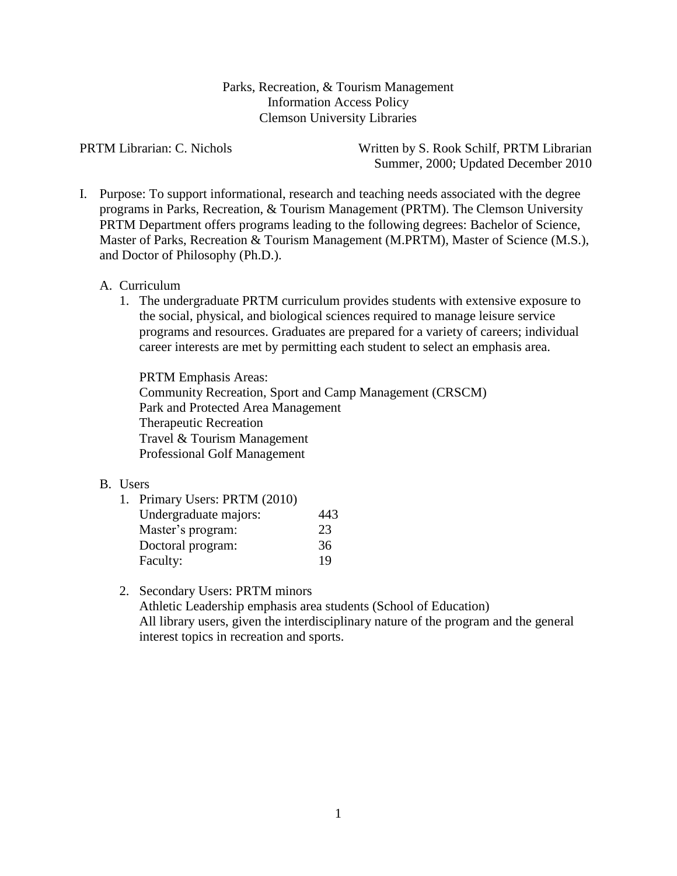Parks, Recreation, & Tourism Management Information Access Policy Clemson University Libraries

PRTM Librarian: C. Nichols Written by S. Rook Schilf, PRTM Librarian Summer, 2000; Updated December 2010

I. Purpose: To support informational, research and teaching needs associated with the degree programs in Parks, Recreation, & Tourism Management (PRTM). The Clemson University PRTM Department offers programs leading to the following degrees: Bachelor of Science, Master of Parks, Recreation & Tourism Management (M.PRTM), Master of Science (M.S.), and Doctor of Philosophy (Ph.D.).

### A. Curriculum

1. The undergraduate PRTM curriculum provides students with extensive exposure to the social, physical, and biological sciences required to manage leisure service programs and resources. Graduates are prepared for a variety of careers; individual career interests are met by permitting each student to select an emphasis area.

PRTM Emphasis Areas: Community Recreation, Sport and Camp Management (CRSCM) Park and Protected Area Management Therapeutic Recreation Travel & Tourism Management Professional Golf Management

#### B. Users

| 1. Primary Users: PRTM (2010) |     |
|-------------------------------|-----|
| Undergraduate majors:         | 443 |
| Master's program:             | 23  |
| Doctoral program:             | 36  |
| Faculty:                      | 19  |

# 2. Secondary Users: PRTM minors

Athletic Leadership emphasis area students (School of Education) All library users, given the interdisciplinary nature of the program and the general interest topics in recreation and sports.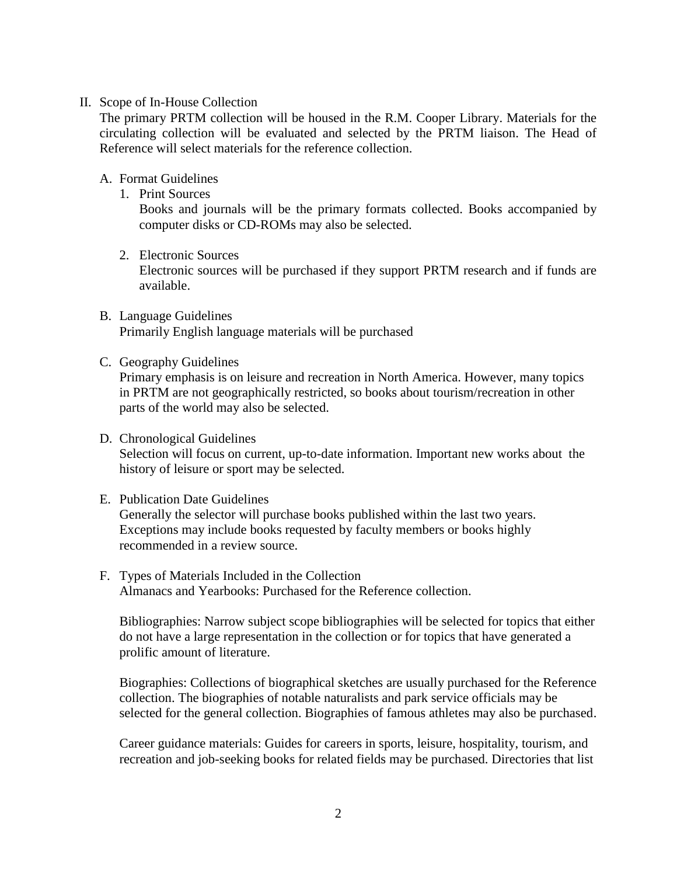## II. Scope of In-House Collection

The primary PRTM collection will be housed in the R.M. Cooper Library. Materials for the circulating collection will be evaluated and selected by the PRTM liaison. The Head of Reference will select materials for the reference collection.

# A. Format Guidelines

1. Print Sources

Books and journals will be the primary formats collected. Books accompanied by computer disks or CD-ROMs may also be selected.

2. Electronic Sources

Electronic sources will be purchased if they support PRTM research and if funds are available.

- B. Language Guidelines Primarily English language materials will be purchased
- C. Geography Guidelines

Primary emphasis is on leisure and recreation in North America. However, many topics in PRTM are not geographically restricted, so books about tourism/recreation in other parts of the world may also be selected.

D. Chronological Guidelines Selection will focus on current, up-to-date information. Important new works about the history of leisure or sport may be selected.

## E. Publication Date Guidelines

Generally the selector will purchase books published within the last two years. Exceptions may include books requested by faculty members or books highly recommended in a review source.

F. Types of Materials Included in the Collection Almanacs and Yearbooks: Purchased for the Reference collection.

Bibliographies: Narrow subject scope bibliographies will be selected for topics that either do not have a large representation in the collection or for topics that have generated a prolific amount of literature.

Biographies: Collections of biographical sketches are usually purchased for the Reference collection. The biographies of notable naturalists and park service officials may be selected for the general collection. Biographies of famous athletes may also be purchased.

Career guidance materials: Guides for careers in sports, leisure, hospitality, tourism, and recreation and job-seeking books for related fields may be purchased. Directories that list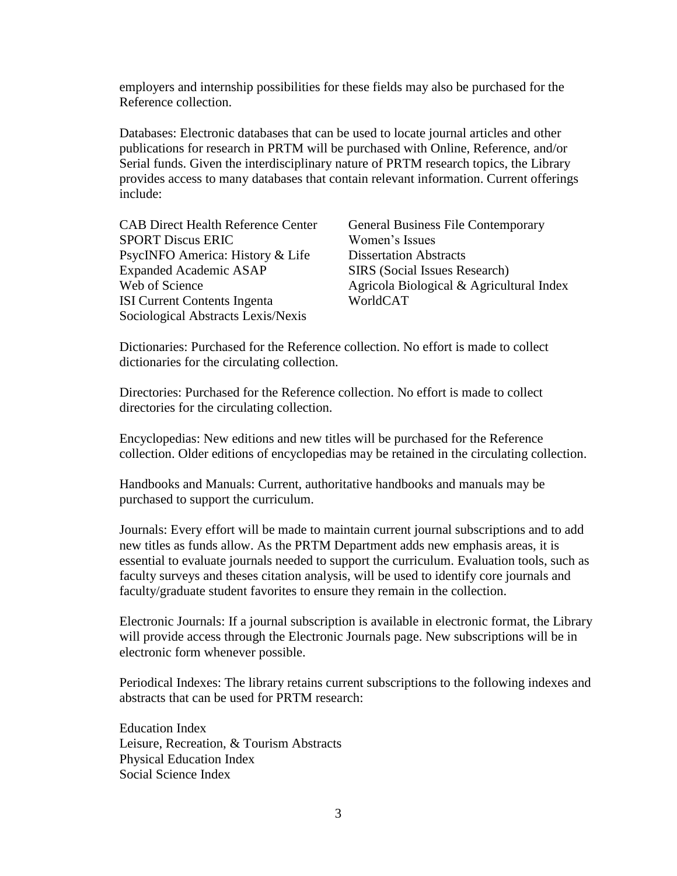employers and internship possibilities for these fields may also be purchased for the Reference collection.

Databases: Electronic databases that can be used to locate journal articles and other publications for research in PRTM will be purchased with Online, Reference, and/or Serial funds. Given the interdisciplinary nature of PRTM research topics, the Library provides access to many databases that contain relevant information. Current offerings include:

| <b>CAB Direct Health Reference Center</b> |
|-------------------------------------------|
| <b>SPORT Discus ERIC</b>                  |
| PsycINFO America: History & Life          |
| <b>Expanded Academic ASAP</b>             |
| Web of Science                            |
| <b>ISI Current Contents Ingenta</b>       |
| Sociological Abstracts Lexis/Nexis        |

General Business File Contemporary Women's Issues Dissertation Abstracts SIRS (Social Issues Research) Agricola Biological & Agricultural Index WorldCAT

Dictionaries: Purchased for the Reference collection. No effort is made to collect dictionaries for the circulating collection.

Directories: Purchased for the Reference collection. No effort is made to collect directories for the circulating collection.

Encyclopedias: New editions and new titles will be purchased for the Reference collection. Older editions of encyclopedias may be retained in the circulating collection.

Handbooks and Manuals: Current, authoritative handbooks and manuals may be purchased to support the curriculum.

Journals: Every effort will be made to maintain current journal subscriptions and to add new titles as funds allow. As the PRTM Department adds new emphasis areas, it is essential to evaluate journals needed to support the curriculum. Evaluation tools, such as faculty surveys and theses citation analysis, will be used to identify core journals and faculty/graduate student favorites to ensure they remain in the collection.

Electronic Journals: If a journal subscription is available in electronic format, the Library will provide access through the Electronic Journals page. New subscriptions will be in electronic form whenever possible.

Periodical Indexes: The library retains current subscriptions to the following indexes and abstracts that can be used for PRTM research:

Education Index Leisure, Recreation, & Tourism Abstracts Physical Education Index Social Science Index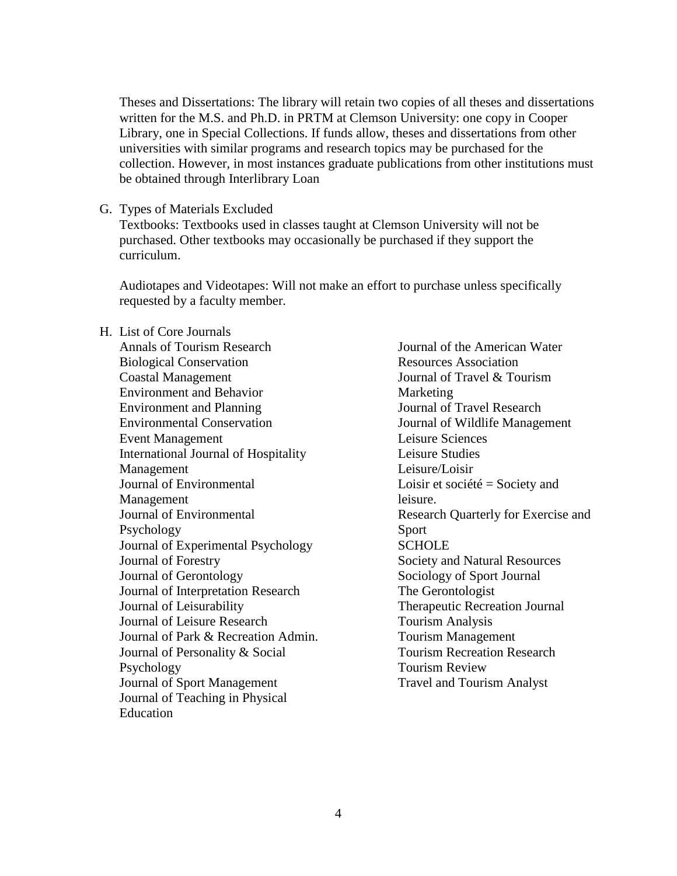Theses and Dissertations: The library will retain two copies of all theses and dissertations written for the M.S. and Ph.D. in PRTM at Clemson University: one copy in Cooper Library, one in Special Collections. If funds allow, theses and dissertations from other universities with similar programs and research topics may be purchased for the collection. However, in most instances graduate publications from other institutions must be obtained through Interlibrary Loan

G. Types of Materials Excluded

Textbooks: Textbooks used in classes taught at Clemson University will not be purchased. Other textbooks may occasionally be purchased if they support the curriculum.

Audiotapes and Videotapes: Will not make an effort to purchase unless specifically requested by a faculty member.

H. List of Core Journals Annals of Tourism Research Biological Conservation Coastal Management Environment and Behavior Environment and Planning Environmental Conservation Event Management International Journal of Hospitality Management Journal of Environmental Management Journal of Environmental Psychology Journal of Experimental Psychology Journal of Forestry Journal of Gerontology Journal of Interpretation Research Journal of Leisurability Journal of Leisure Research Journal of Park & Recreation Admin. Journal of Personality & Social Psychology Journal of Sport Management Journal of Teaching in Physical Education

Journal of the American Water Resources Association Journal of Travel & Tourism Marketing Journal of Travel Research Journal of Wildlife Management Leisure Sciences Leisure Studies Leisure/Loisir Loisir et société = Society and leisure. Research Quarterly for Exercise and Sport **SCHOLE** Society and Natural Resources Sociology of Sport Journal The Gerontologist Therapeutic Recreation Journal Tourism Analysis Tourism Management Tourism Recreation Research Tourism Review Travel and Tourism Analyst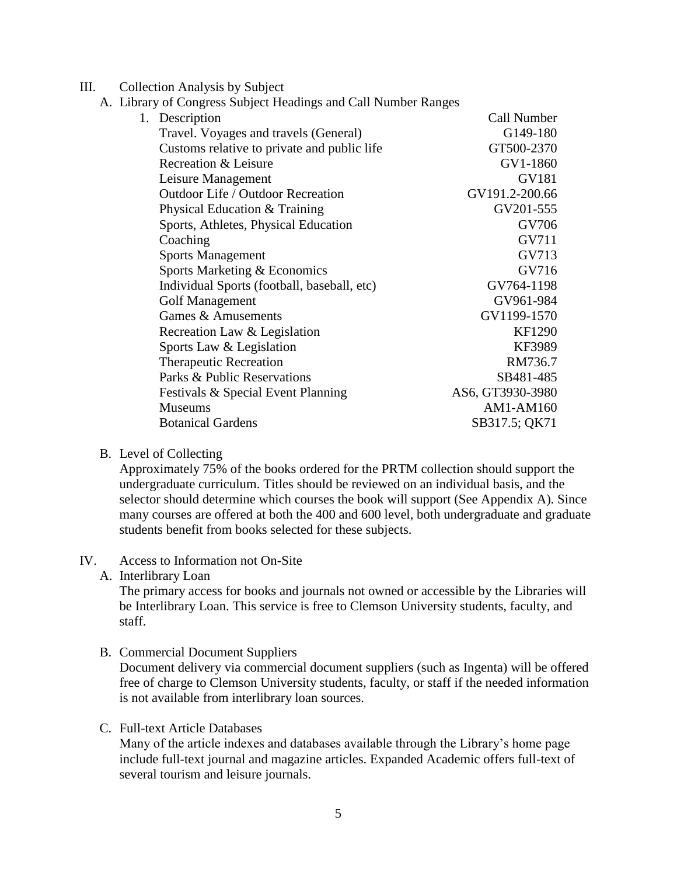- III. Collection Analysis by Subject
	- A. Library of Congress Subject Headings and Call Number Ranges

| 1. Description                              | Call Number      |
|---------------------------------------------|------------------|
| Travel. Voyages and travels (General)       | G149-180         |
| Customs relative to private and public life | GT500-2370       |
| Recreation & Leisure                        | GV1-1860         |
| Leisure Management                          | GV181            |
| Outdoor Life / Outdoor Recreation           | GV191.2-200.66   |
| Physical Education & Training               | GV201-555        |
| Sports, Athletes, Physical Education        | GV706            |
| Coaching                                    | GV711            |
| <b>Sports Management</b>                    | GV713            |
| Sports Marketing & Economics                | GV716            |
| Individual Sports (football, baseball, etc) | GV764-1198       |
| <b>Golf Management</b>                      | GV961-984        |
| Games & Amusements                          | GV1199-1570      |
| Recreation Law & Legislation                | <b>KF1290</b>    |
| Sports Law & Legislation                    | KF3989           |
| <b>Therapeutic Recreation</b>               | RM736.7          |
| Parks & Public Reservations                 | SB481-485        |
| Festivals & Special Event Planning          | AS6, GT3930-3980 |
| <b>Museums</b>                              | AM1-AM160        |
| <b>Botanical Gardens</b>                    | SB317.5; QK71    |
|                                             |                  |

# B. Level of Collecting

Approximately 75% of the books ordered for the PRTM collection should support the undergraduate curriculum. Titles should be reviewed on an individual basis, and the selector should determine which courses the book will support (See Appendix A). Since many courses are offered at both the 400 and 600 level, both undergraduate and graduate students benefit from books selected for these subjects.

#### IV. Access to Information not On-Site

A. Interlibrary Loan

The primary access for books and journals not owned or accessible by the Libraries will be Interlibrary Loan. This service is free to Clemson University students, faculty, and staff.

B. Commercial Document Suppliers

Document delivery via commercial document suppliers (such as Ingenta) will be offered free of charge to Clemson University students, faculty, or staff if the needed information is not available from interlibrary loan sources.

C. Full-text Article Databases

Many of the article indexes and databases available through the Library's home page include full-text journal and magazine articles. Expanded Academic offers full-text of several tourism and leisure journals.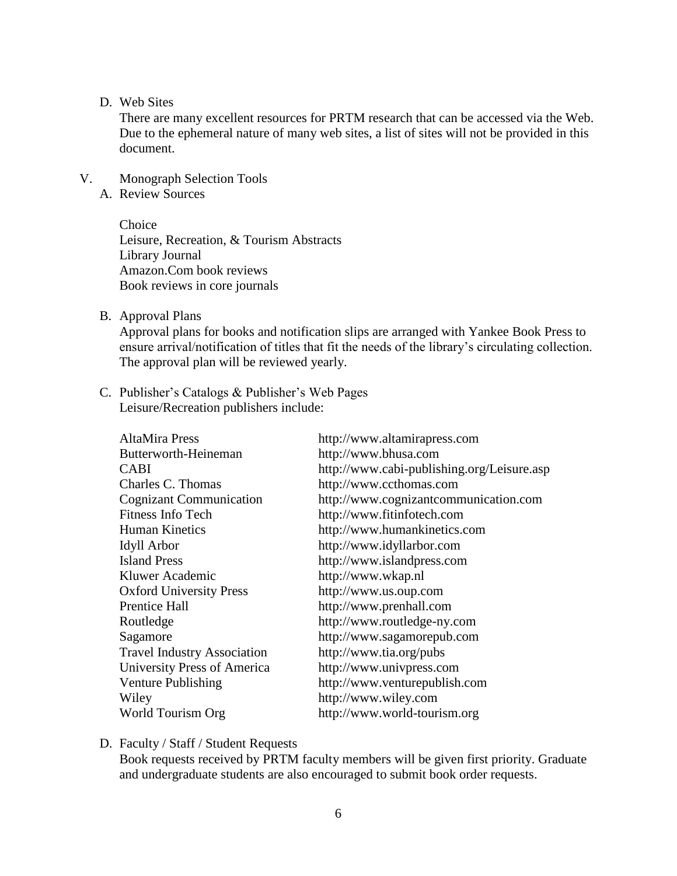#### D. Web Sites

There are many excellent resources for PRTM research that can be accessed via the Web. Due to the ephemeral nature of many web sites, a list of sites will not be provided in this document.

- V. Monograph Selection Tools
	- A. Review Sources

**Choice** Leisure, Recreation, & Tourism Abstracts Library Journal Amazon.Com book reviews Book reviews in core journals

B. Approval Plans

Approval plans for books and notification slips are arranged with Yankee Book Press to ensure arrival/notification of titles that fit the needs of the library's circulating collection. The approval plan will be reviewed yearly.

C. Publisher's Catalogs & Publisher's Web Pages Leisure/Recreation publishers include:

| <b>AltaMira Press</b>              | http://www.altamirapress.com               |
|------------------------------------|--------------------------------------------|
| Butterworth-Heineman               | http://www.bhusa.com                       |
| <b>CABI</b>                        | http://www.cabi-publishing.org/Leisure.asp |
| Charles C. Thomas                  | http://www.ccthomas.com                    |
| <b>Cognizant Communication</b>     | http://www.cognizantcommunication.com      |
| <b>Fitness Info Tech</b>           | http://www.fitinfotech.com                 |
| <b>Human Kinetics</b>              | http://www.humankinetics.com               |
| Idyll Arbor                        | http://www.idyllarbor.com                  |
| <b>Island Press</b>                | http://www.islandpress.com                 |
| Kluwer Academic                    | http://www.wkap.nl                         |
| <b>Oxford University Press</b>     | http://www.us.oup.com                      |
| <b>Prentice Hall</b>               | http://www.prenhall.com                    |
| Routledge                          | http://www.routledge-ny.com                |
| Sagamore                           | http://www.sagamorepub.com                 |
| <b>Travel Industry Association</b> | http://www.tia.org/pubs                    |
| University Press of America        | http://www.univpress.com                   |
| Venture Publishing                 | http://www.venturepublish.com              |
| Wiley                              | http://www.wiley.com                       |
| World Tourism Org                  | http://www.world-tourism.org               |

D. Faculty / Staff / Student Requests

Book requests received by PRTM faculty members will be given first priority. Graduate and undergraduate students are also encouraged to submit book order requests.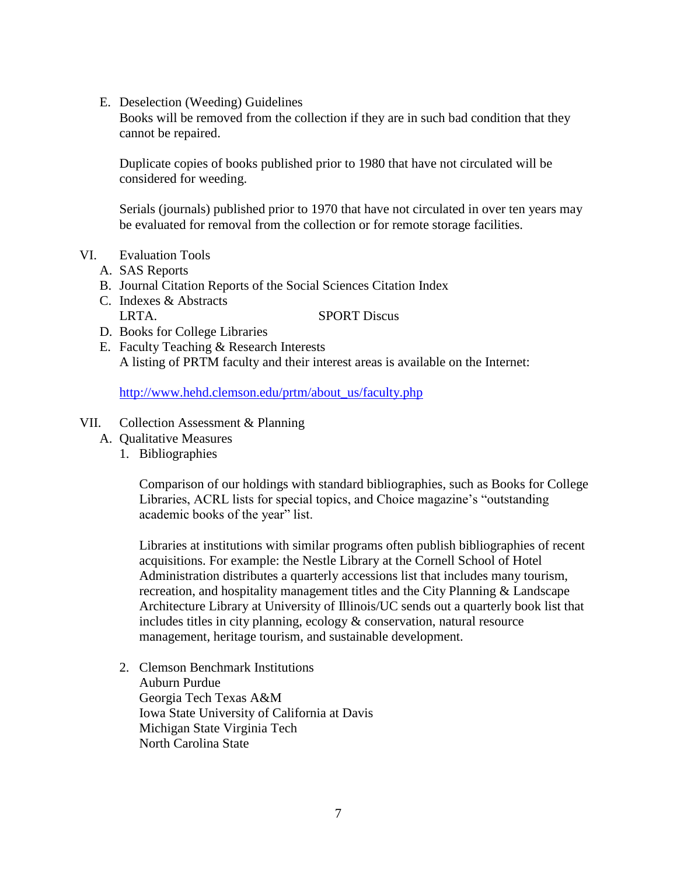E. Deselection (Weeding) Guidelines

Books will be removed from the collection if they are in such bad condition that they cannot be repaired.

Duplicate copies of books published prior to 1980 that have not circulated will be considered for weeding.

Serials (journals) published prior to 1970 that have not circulated in over ten years may be evaluated for removal from the collection or for remote storage facilities.

- VI. Evaluation Tools
	- A. SAS Reports
	- B. Journal Citation Reports of the Social Sciences Citation Index
	- C. Indexes & Abstracts LRTA. SPORT Discus
	- D. Books for College Libraries
	- E. Faculty Teaching & Research Interests A listing of PRTM faculty and their interest areas is available on the Internet:

[http://www.hehd.clemson.edu/prtm/about\\_us/faculty.php](http://www.hehd.clemson.edu/prtm/about_us/faculty.php)

- VII. Collection Assessment & Planning
	- A. Qualitative Measures
		- 1. Bibliographies

Comparison of our holdings with standard bibliographies, such as Books for College Libraries, ACRL lists for special topics, and Choice magazine's "outstanding academic books of the year" list.

Libraries at institutions with similar programs often publish bibliographies of recent acquisitions. For example: the Nestle Library at the Cornell School of Hotel Administration distributes a quarterly accessions list that includes many tourism, recreation, and hospitality management titles and the City Planning & Landscape Architecture Library at University of Illinois/UC sends out a quarterly book list that includes titles in city planning, ecology & conservation, natural resource management, heritage tourism, and sustainable development.

2. Clemson Benchmark Institutions Auburn Purdue Georgia Tech Texas A&M Iowa State University of California at Davis Michigan State Virginia Tech North Carolina State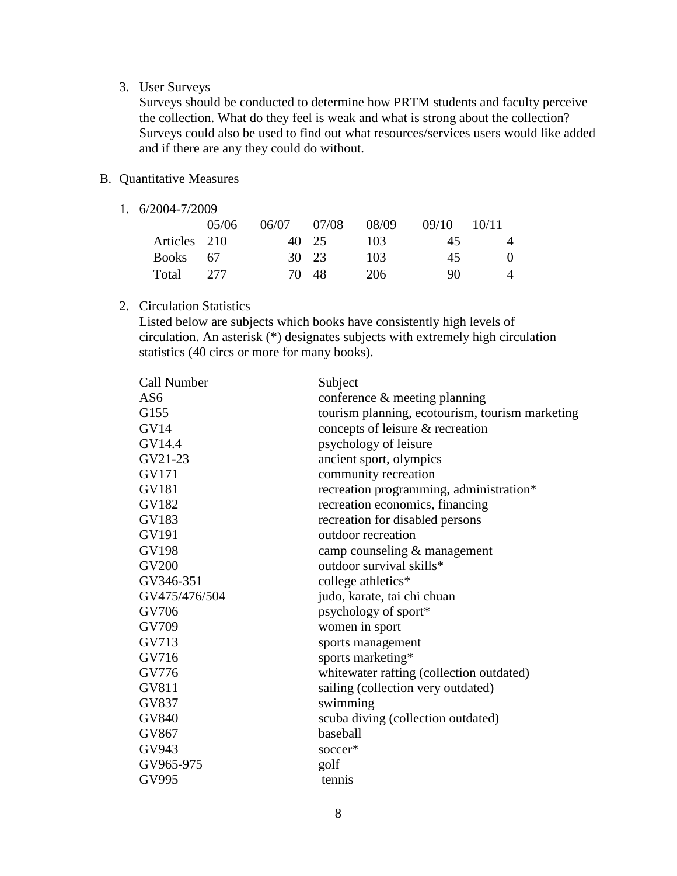### 3. User Surveys

Surveys should be conducted to determine how PRTM students and faculty perceive the collection. What do they feel is weak and what is strong about the collection? Surveys could also be used to find out what resources/services users would like added and if there are any they could do without.

# B. Quantitative Measures

1. 6/2004-7/2009

|              | 05/06 | 06/07 07/08 |       | 08/09 | 09/10 | 10/11    |
|--------------|-------|-------------|-------|-------|-------|----------|
| Articles 210 |       |             | 40 25 | -103  | 45    | 4        |
| Books 67     |       |             | 30 23 | -103  | 45    | $\Omega$ |
| Total 277    |       |             | 70 48 | 206   | 90    | 4        |

# 2. Circulation Statistics

Listed below are subjects which books have consistently high levels of circulation. An asterisk (\*) designates subjects with extremely high circulation statistics (40 circs or more for many books).

| Call Number     | Subject                                         |
|-----------------|-------------------------------------------------|
| AS <sub>6</sub> | conference & meeting planning                   |
| G155            | tourism planning, ecotourism, tourism marketing |
| <b>GV14</b>     | concepts of leisure & recreation                |
| GV14.4          | psychology of leisure                           |
| GV21-23         | ancient sport, olympics                         |
| GV171           | community recreation                            |
| <b>GV181</b>    | recreation programming, administration*         |
| GV182           | recreation economics, financing                 |
| GV183           | recreation for disabled persons                 |
| GV191           | outdoor recreation                              |
| <b>GV198</b>    | camp counseling & management                    |
| <b>GV200</b>    | outdoor survival skills*                        |
| GV346-351       | college athletics*                              |
| GV475/476/504   | judo, karate, tai chi chuan                     |
| GV706           | psychology of sport*                            |
| GV709           | women in sport                                  |
| GV713           | sports management                               |
| GV716           | sports marketing*                               |
| GV776           | whitewater rafting (collection outdated)        |
| <b>GV811</b>    | sailing (collection very outdated)              |
| GV837           | swimming                                        |
| <b>GV840</b>    | scuba diving (collection outdated)              |
| GV867           | baseball                                        |
| GV943           | soccer*                                         |
| GV965-975       | golf                                            |
| GV995           | tennis                                          |
|                 |                                                 |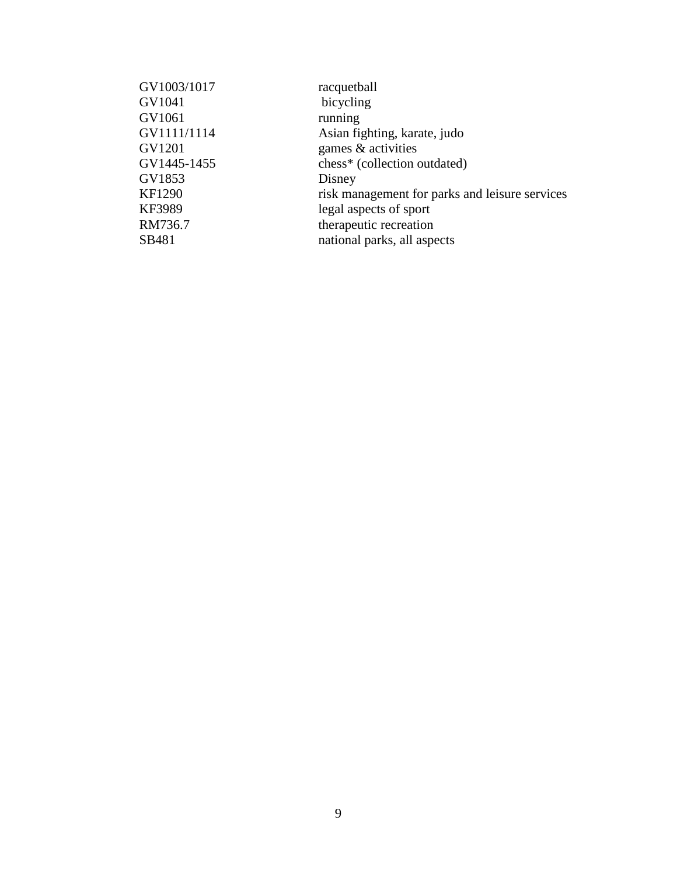| GV1003/1017 | racquetball                                    |
|-------------|------------------------------------------------|
| GV1041      | bicycling                                      |
| GV1061      | running                                        |
| GV1111/1114 | Asian fighting, karate, judo                   |
| GV1201      | games & activities                             |
| GV1445-1455 | chess* (collection outdated)                   |
| GV1853      | Disney                                         |
| KF1290      | risk management for parks and leisure services |
| KF3989      | legal aspects of sport                         |
| RM736.7     | therapeutic recreation                         |
| SB481       | national parks, all aspects                    |
|             |                                                |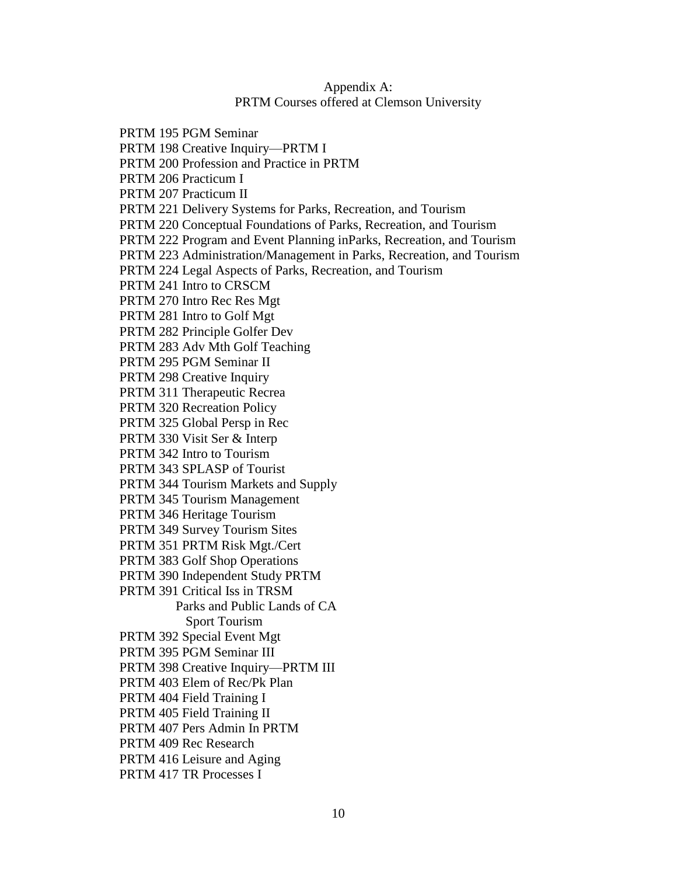# Appendix A: PRTM Courses offered at Clemson University

PRTM 195 PGM Seminar PRTM 198 Creative Inquiry—PRTM I PRTM 200 Profession and Practice in PRTM PRTM 206 Practicum I PRTM 207 Practicum II PRTM 221 Delivery Systems for Parks, Recreation, and Tourism PRTM 220 Conceptual Foundations of Parks, Recreation, and Tourism PRTM 222 Program and Event Planning inParks, Recreation, and Tourism PRTM 223 Administration/Management in Parks, Recreation, and Tourism PRTM 224 Legal Aspects of Parks, Recreation, and Tourism PRTM 241 Intro to CRSCM PRTM 270 Intro Rec Res Mgt PRTM 281 Intro to Golf Mgt PRTM 282 Principle Golfer Dev PRTM 283 Adv Mth Golf Teaching PRTM 295 PGM Seminar II PRTM 298 Creative Inquiry PRTM 311 Therapeutic Recrea PRTM 320 Recreation Policy PRTM 325 Global Persp in Rec PRTM 330 Visit Ser & Interp PRTM 342 Intro to Tourism PRTM 343 SPLASP of Tourist PRTM 344 Tourism Markets and Supply PRTM 345 Tourism Management PRTM 346 Heritage Tourism PRTM 349 Survey Tourism Sites PRTM 351 PRTM Risk Mgt./Cert PRTM 383 Golf Shop Operations PRTM 390 Independent Study PRTM PRTM 391 Critical Iss in TRSM Parks and Public Lands of CA Sport Tourism PRTM 392 Special Event Mgt PRTM 395 PGM Seminar III PRTM 398 Creative Inquiry—PRTM III PRTM 403 Elem of Rec/Pk Plan PRTM 404 Field Training I PRTM 405 Field Training II PRTM 407 Pers Admin In PRTM PRTM 409 Rec Research PRTM 416 Leisure and Aging PRTM 417 TR Processes I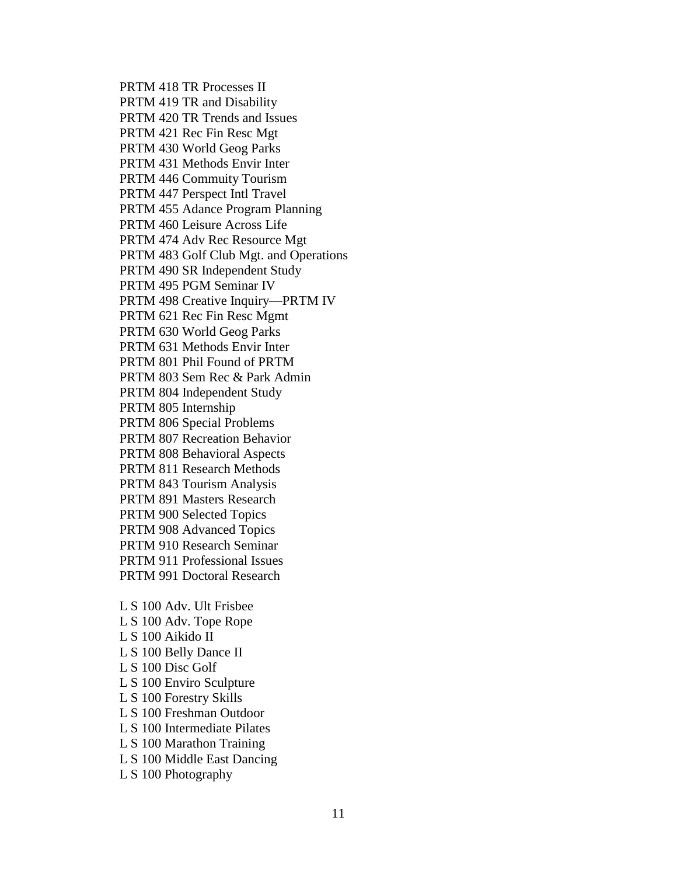PRTM 418 TR Processes II PRTM 419 TR and Disability PRTM 420 TR Trends and Issues PRTM 421 Rec Fin Resc Mgt PRTM 430 World Geog Parks PRTM 431 Methods Envir Inter PRTM 446 Commuity Tourism PRTM 447 Perspect Intl Travel PRTM 455 Adance Program Planning PRTM 460 Leisure Across Life PRTM 474 Adv Rec Resource Mgt PRTM 483 Golf Club Mgt. and Operations PRTM 490 SR Independent Study PRTM 495 PGM Seminar IV PRTM 498 Creative Inquiry—PRTM IV PRTM 621 Rec Fin Resc Mgmt PRTM 630 World Geog Parks PRTM 631 Methods Envir Inter PRTM 801 Phil Found of PRTM PRTM 803 Sem Rec & Park Admin PRTM 804 Independent Study PRTM 805 Internship PRTM 806 Special Problems PRTM 807 Recreation Behavior PRTM 808 Behavioral Aspects PRTM 811 Research Methods PRTM 843 Tourism Analysis PRTM 891 Masters Research PRTM 900 Selected Topics PRTM 908 Advanced Topics PRTM 910 Research Seminar PRTM 911 Professional Issues PRTM 991 Doctoral Research L S 100 Adv. Ult Frisbee

L S 100 Adv. Tope Rope L S 100 Aikido II L S 100 Belly Dance II L S 100 Disc Golf L S 100 Enviro Sculpture L S 100 Forestry Skills L S 100 Freshman Outdoor L S 100 Intermediate Pilates L S 100 Marathon Training L S 100 Middle East Dancing L S 100 Photography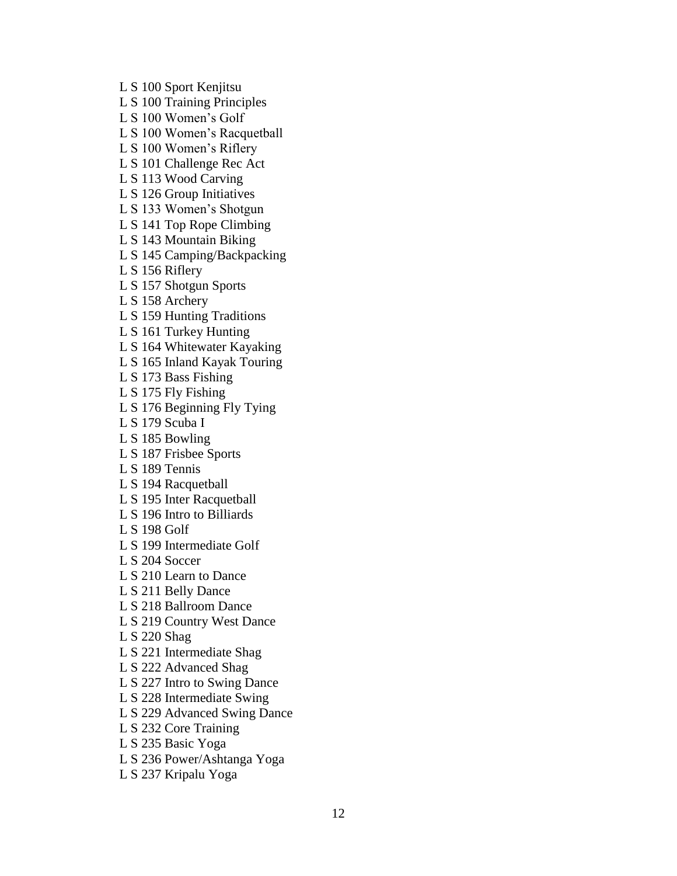L S 100 Sport Kenjitsu L S 100 Training Principles L S 100 Women's Golf L S 100 Women's Racquetball L S 100 Women's Riflery L S 101 Challenge Rec Act L S 113 Wood Carving L S 126 Group Initiatives L S 133 Women's Shotgun L S 141 Top Rope Climbing L S 143 Mountain Biking L S 145 Camping/Backpacking L S 156 Riflery L S 157 Shotgun Sports L S 158 Archery L S 159 Hunting Traditions L S 161 Turkey Hunting L S 164 Whitewater Kayaking L S 165 Inland Kayak Touring L S 173 Bass Fishing L S 175 Fly Fishing L S 176 Beginning Fly Tying L S 179 Scuba I L S 185 Bowling L S 187 Frisbee Sports L S 189 Tennis L S 194 Racquetball L S 195 Inter Racquetball L S 196 Intro to Billiards L S 198 Golf L S 199 Intermediate Golf L S 204 Soccer L S 210 Learn to Dance L S 211 Belly Dance L S 218 Ballroom Dance L S 219 Country West Dance L S 220 Shag L S 221 Intermediate Shag L S 222 Advanced Shag L S 227 Intro to Swing Dance L S 228 Intermediate Swing L S 229 Advanced Swing Dance L S 232 Core Training L S 235 Basic Yoga L S 236 Power/Ashtanga Yoga L S 237 Kripalu Yoga